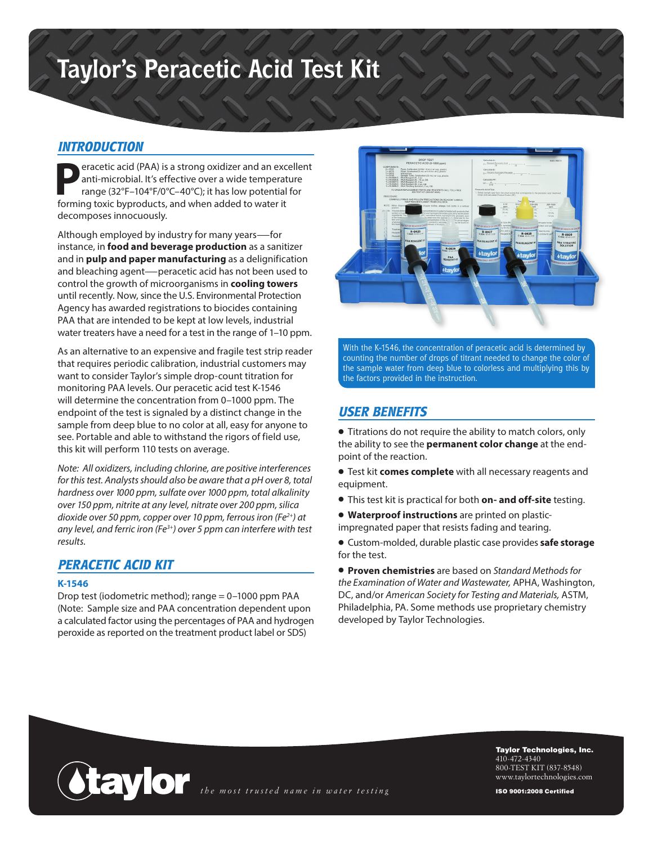# **Taylor's Peracetic Acid Test Kit**

#### *INTRODUCTION*

**Peracetic acid (PAA) is a strong oxidizer and an excellent<br>anti-microbial. It's effective over a wide temperature<br>range (32°F-104°F/0°C-40°C); it has low potential for<br>forming toxic byproducts, and when added to water it** anti-microbial. It's effective over a wide temperature range (32°F–104°F/0°C–40°C); it has low potential for forming toxic byproducts, and when added to water it decomposes innocuously.

Although employed by industry for many years—for instance, in **food and beverage production** as a sanitizer and in **pulp and paper manufacturing** as a delignification and bleaching agent—peracetic acid has not been used to control the growth of microorganisms in **cooling towers** until recently. Now, since the U.S. Environmental Protection Agency has awarded registrations to biocides containing PAA that are intended to be kept at low levels, industrial water treaters have a need for a test in the range of 1–10 ppm.

As an alternative to an expensive and fragile test strip reader that requires periodic calibration, industrial customers may want to consider Taylor's simple drop-count titration for monitoring PAA levels. Our peracetic acid test K-1546 will determine the concentration from 0–1000 ppm. The endpoint of the test is signaled by a distinct change in the sample from deep blue to no color at all, easy for anyone to see. Portable and able to withstand the rigors of field use, this kit will perform 110 tests on average.

*Note: All oxidizers, including chlorine, are positive interferences for this test. Analysts should also be aware that a pH over 8, total hardness over 1000 ppm, sulfate over 1000 ppm, total alkalinity over 150 ppm, nitrite at any level, nitrate over 200 ppm, silica dioxide over 50 ppm, copper over 10 ppm, ferrous iron (Fe2+) at any level, and ferric iron (Fe3+) over 5 ppm can interfere with test results.*

#### *PERACETIC ACID KIT*

#### **K-1546**

Drop test (iodometric method); range = 0–1000 ppm PAA (Note: Sample size and PAA concentration dependent upon a calculated factor using the percentages of PAA and hydrogen peroxide as reported on the treatment product label or SDS)



With the K-1546, the concentration of peracetic acid is determined by counting the number of drops of titrant needed to change the color of the sample water from deep blue to colorless and multiplying this by the factors provided in the instruction.

## *USER BENEFITS*

• Titrations do not require the ability to match colors, only the ability to see the **permanent color change** at the endpoint of the reaction.

• Test kit **comes complete** with all necessary reagents and equipment.

- This test kit is practical for both **on- and off-site** testing.
- **Waterproof instructions** are printed on plasticimpregnated paper that resists fading and tearing.

• Custom-molded, durable plastic case provides **safe storage** for the test.

• **Proven chemistries** are based on *Standard Methods for the Examination of Water and Wastewater,* APHA, Washington, DC, and/or *American Society for Testing and Materials,* ASTM, Philadelphia, PA. Some methods use proprietary chemistry developed by Taylor Technologies.



Taylor Technologies, Inc. 410-472-4340 800-TEST KIT (837-8548) www.taylortechnologies.com

ISO 9001:2008 Certified